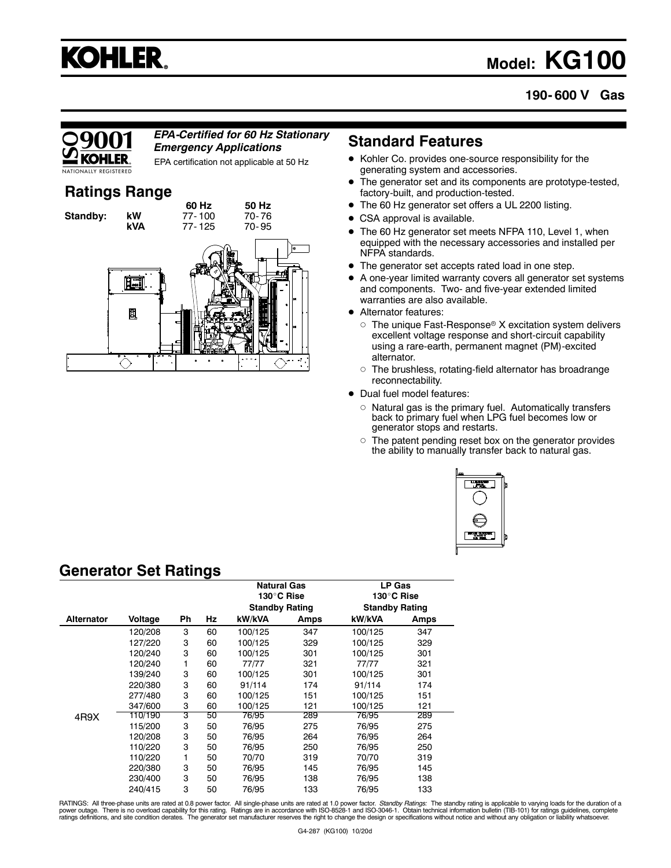## **KOHLER**

## **Model: KG100**

### **190- 600 V Gas**

### *EPA-Certified for 60 Hz Stationary Emergency Applications*

EPA certification not applicable at 50 Hz

### **Ratings Range**



### **Standard Features**

- Kohler Co. provides one-source responsibility for the generating system and accessories.
- $\bullet$  The generator set and its components are prototype-tested, factory-built, and production-tested.
- The 60 Hz generator set offers a UL 2200 listing.
- CSA approval is available.
- $\bullet$  The 60 Hz generator set meets NFPA 110, Level 1, when equipped with the necessary accessories and installed per NFPA standards.
- $\bullet$ The generator set accepts rated load in one step.
- A one-year limited warranty covers all generator set systems and components. Two- and five-year extended limited warranties are also available.
- Alternator features:
	- $\circ$  The unique Fast-Response® X excitation system delivers excellent voltage response and short-circuit capability using a rare-earth, permanent magnet (PM)-excited alternator.
	- The brushless, rotating-field alternator has broadrange reconnectability.
- Dual fuel model features:
	- $\circ$  Natural gas is the primary fuel. Automatically transfers back to primary fuel when LPG fuel becomes low or generator stops and restarts.
	- o The patent pending reset box on the generator provides the ability to manually transfer back to natural gas.



### **Generator Set Ratings**

|                   |         |    |    | <b>Natural Gas</b><br>130°C Rise |      | LP Gas                |      |
|-------------------|---------|----|----|----------------------------------|------|-----------------------|------|
|                   |         |    |    |                                  |      | 130°C Rise            |      |
|                   |         |    |    | <b>Standby Rating</b>            |      | <b>Standby Rating</b> |      |
| <b>Alternator</b> | Voltage | Ph | Hz | kW/kVA                           | Amps | kW/kVA                | Amps |
|                   | 120/208 | 3  | 60 | 100/125                          | 347  | 100/125               | 347  |
|                   | 127/220 | 3  | 60 | 100/125                          | 329  | 100/125               | 329  |
|                   | 120/240 | 3  | 60 | 100/125                          | 301  | 100/125               | 301  |
|                   | 120/240 | 1  | 60 | 77/77                            | 321  | 77/77                 | 321  |
|                   | 139/240 | 3  | 60 | 100/125                          | 301  | 100/125               | 301  |
|                   | 220/380 | 3  | 60 | 91/114                           | 174  | 91/114                | 174  |
|                   | 277/480 | 3  | 60 | 100/125                          | 151  | 100/125               | 151  |
|                   | 347/600 | 3  | 60 | 100/125                          | 121  | 100/125               | 121  |
| 4R9X              | 110/190 | 3  | 50 | 76/95                            | 289  | 76/95                 | 289  |
|                   | 115/200 | 3  | 50 | 76/95                            | 275  | 76/95                 | 275  |
|                   | 120/208 | 3  | 50 | 76/95                            | 264  | 76/95                 | 264  |
|                   | 110/220 | 3  | 50 | 76/95                            | 250  | 76/95                 | 250  |
|                   | 110/220 | 1  | 50 | 70/70                            | 319  | 70/70                 | 319  |
|                   | 220/380 | 3  | 50 | 76/95                            | 145  | 76/95                 | 145  |
|                   | 230/400 | 3  | 50 | 76/95                            | 138  | 76/95                 | 138  |
|                   | 240/415 | 3  | 50 | 76/95                            | 133  | 76/95                 | 133  |

RATINGS: All three-phase units are rated at 0.8 power factor. All single-phase units are rated at 1.0 power factor. *Standby Ratings*: The standby rating is applicable to varying loads for the duration of a<br>power outage. T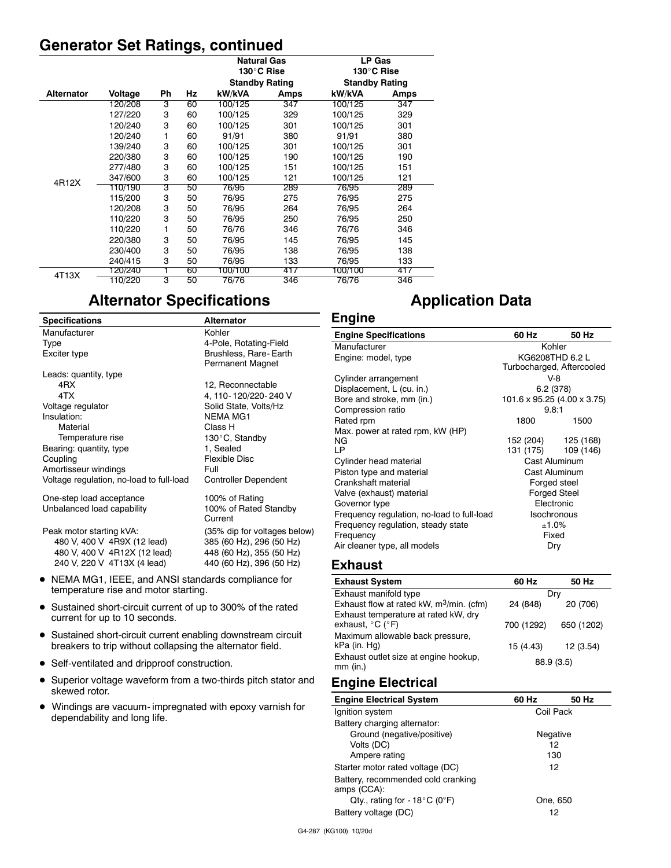### **Generator Set Ratings, continued**

|                   |         |    |    | <b>Natural Gas</b>    |      | <b>LP Gas</b>         |      |
|-------------------|---------|----|----|-----------------------|------|-----------------------|------|
|                   |         |    |    | 130°C Rise            |      | 130°C Rise            |      |
|                   |         |    |    | <b>Standby Rating</b> |      | <b>Standby Rating</b> |      |
| <b>Alternator</b> | Voltage | Ph | Ηz | kW/kVA                | Amps | kW/kVA                | Amps |
|                   | 120/208 | 3  | 60 | 100/125               | 347  | 100/125               | 347  |
|                   | 127/220 | 3  | 60 | 100/125               | 329  | 100/125               | 329  |
|                   | 120/240 | 3  | 60 | 100/125               | 301  | 100/125               | 301  |
|                   | 120/240 | 1  | 60 | 91/91                 | 380  | 91/91                 | 380  |
|                   | 139/240 | 3  | 60 | 100/125               | 301  | 100/125               | 301  |
|                   | 220/380 | 3  | 60 | 100/125               | 190  | 100/125               | 190  |
|                   | 277/480 | 3  | 60 | 100/125               | 151  | 100/125               | 151  |
| 4R12X             | 347/600 | 3  | 60 | 100/125               | 121  | 100/125               | 121  |
|                   | 110/190 | 3  | 50 | 76/95                 | 289  | 76/95                 | 289  |
|                   | 115/200 | 3  | 50 | 76/95                 | 275  | 76/95                 | 275  |
|                   | 120/208 | 3  | 50 | 76/95                 | 264  | 76/95                 | 264  |
|                   | 110/220 | 3  | 50 | 76/95                 | 250  | 76/95                 | 250  |
|                   | 110/220 | 1  | 50 | 76/76                 | 346  | 76/76                 | 346  |
|                   | 220/380 | 3  | 50 | 76/95                 | 145  | 76/95                 | 145  |
|                   | 230/400 | 3  | 50 | 76/95                 | 138  | 76/95                 | 138  |
|                   | 240/415 | 3  | 50 | 76/95                 | 133  | 76/95                 | 133  |
| 4T13X             | 120/240 |    | 60 | 100/100               | 417  | 100/100               | 417  |
|                   | 110/220 | 3  | 50 | 76/76                 | 346  | 76/76                 | 346  |

### **Alternator Specifications**

| <b>Specifications</b>                                                                                                       | <b>Alternator</b>                                                                                                | <b>Engine</b>                                                                                                                                        |                                                                   |                                                                          |
|-----------------------------------------------------------------------------------------------------------------------------|------------------------------------------------------------------------------------------------------------------|------------------------------------------------------------------------------------------------------------------------------------------------------|-------------------------------------------------------------------|--------------------------------------------------------------------------|
| Manufacturer                                                                                                                | Kohler                                                                                                           | <b>Engine Specifications</b>                                                                                                                         | 60 Hz                                                             | 50 Hz                                                                    |
| Type<br>Exciter type                                                                                                        | 4-Pole, Rotating-Field<br>Brushless, Rare-Earth<br><b>Permanent Magnet</b>                                       | Manufacturer<br>Engine: model, type                                                                                                                  |                                                                   | Kohler<br>KG6208THD 6.2 L<br>Turbocharged, Aftercooled                   |
| Leads: quantity, type<br>4RX<br>4TX<br>Voltage regulator<br>Insulation:<br>Material                                         | 12, Reconnectable<br>4, 110-120/220-240 V<br>Solid State, Volts/Hz<br><b>NEMA MG1</b><br>Class H                 | Cylinder arrangement<br>Displacement, L (cu. in.)<br>Bore and stroke, mm (in.)<br>Compression ratio<br>Rated rpm<br>Max. power at rated rpm, kW (HP) | $V-8$<br>6.2(378)<br>101.6 x 95.25 (4.00 x 3.75)<br>9.8:1<br>1800 | 1500                                                                     |
| Temperature rise<br>Bearing: quantity, type<br>Coupling<br>Amortisseur windings<br>Voltage regulation, no-load to full-load | 130°C, Standby<br>1, Sealed<br>Flexible Disc<br>Full<br><b>Controller Dependent</b>                              | NG.<br>LP<br>Cylinder head material<br>Piston type and material<br>Crankshaft material                                                               | 152 (204)<br>131 (175)                                            | 125 (168)<br>109 (146)<br>Cast Aluminum<br>Cast Aluminum<br>Forged steel |
| One-step load acceptance<br>Unbalanced load capability                                                                      | 100% of Rating<br>100% of Rated Standby<br>Current                                                               | Valve (exhaust) material<br>Governor type<br>Frequency regulation, no-load to full-load                                                              |                                                                   | <b>Forged Steel</b><br>Electronic<br>Isochronous                         |
| Peak motor starting kVA:<br>480 V, 400 V 4R9X (12 lead)<br>480 V, 400 V 4R12X (12 lead)<br>240 V, 220 V 4T13X (4 lead)      | (35% dip for voltages below)<br>385 (60 Hz), 296 (50 Hz)<br>448 (60 Hz), 355 (50 Hz)<br>440 (60 Hz), 396 (50 Hz) | Frequency regulation, steady state<br>Frequency<br>Air cleaner type, all models<br><b>Exhaust</b>                                                    |                                                                   | ±1.0%<br>Fixed<br>Dry                                                    |

- NEMA MG1, IEEE, and ANSI standards compliance for temperature rise and motor starting.
- Sustained short-circuit current of up to 300% of the rated current for up to 10 seconds.
- Sustained short-circuit current enabling downstream circuit breakers to trip without collapsing the alternator field.
- Self-ventilated and dripproof construction.
- $\bullet$  Superior voltage waveform from a two-thirds pitch stator and skewed rotor.
- Windings are vacuum- impregnated with epoxy varnish for dependability and long life.

### Exhaust flow at rated kW,  $m^3/m$ in. (cfm) 24 (848) 20 (706)

| Exhaust temperature at rated kW, dry              |            |            |
|---------------------------------------------------|------------|------------|
| exhaust, °C (°F)                                  | 700 (1292) | 650 (1202) |
| Maximum allowable back pressure,                  |            |            |
| kPa (in. Hq)                                      | 15 (4.43)  | 12 (3.54)  |
| Exhaust outlet size at engine hookup,<br>mm (in.) | 88.9 (3.5) |            |

**Exhaust System 60 Hz 50 Hz** Exhaust manifold type Dry

**Application Data**

### **Engine Electrical**

| <b>Engine Electrical System</b>                   | 60 Hz     | 50 Hz |  |
|---------------------------------------------------|-----------|-------|--|
| Ignition system                                   | Coil Pack |       |  |
| Battery charging alternator:                      |           |       |  |
| Ground (negative/positive)                        | Negative  |       |  |
| Volts (DC)                                        | 12        |       |  |
| Ampere rating                                     | 130       |       |  |
| Starter motor rated voltage (DC)                  | 12        |       |  |
| Battery, recommended cold cranking<br>amps (CCA): |           |       |  |
| Qty., rating for - $18^{\circ}$ C (0°F)           | One, 650  |       |  |
| Battery voltage (DC)                              | 12        |       |  |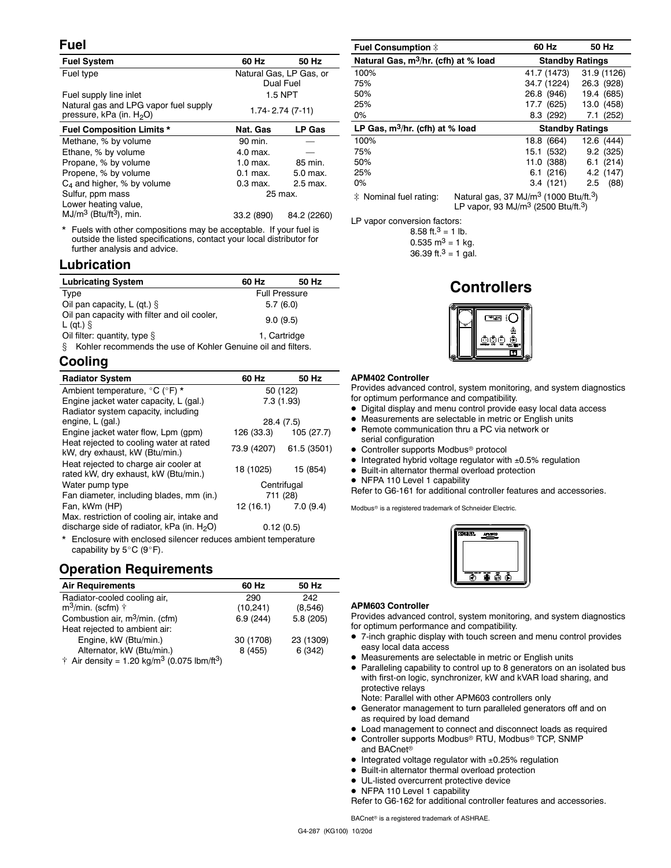### **Fuel**

| <b>Fuel System</b>                                                                                   | 60 Hz                                | 50 Hz         |  |
|------------------------------------------------------------------------------------------------------|--------------------------------------|---------------|--|
| Fuel type                                                                                            | Natural Gas, LP Gas, or<br>Dual Fuel |               |  |
| Fuel supply line inlet                                                                               |                                      | 1.5 NPT       |  |
| Natural gas and LPG vapor fuel supply<br>$1.74 - 2.74(7-11)$<br>pressure, kPa (in. H <sub>2</sub> O) |                                      |               |  |
| <b>Fuel Composition Limits *</b>                                                                     | Nat. Gas                             | <b>LP Gas</b> |  |
| Methane, % by volume                                                                                 | 90 min.                              |               |  |
| Ethane, % by volume                                                                                  | 4.0 max.                             |               |  |
| Propane, % by volume                                                                                 | 1.0 max.                             | 85 min.       |  |
| Propene, % by volume                                                                                 | $0.1$ max.                           | 5.0 max.      |  |
| $C_4$ and higher, % by volume                                                                        | $0.3$ max.                           | 2.5 max.      |  |
| Sulfur, ppm mass<br>25 max.                                                                          |                                      |               |  |
| Lower heating value,                                                                                 |                                      |               |  |
| $MJ/m3$ (Btu/ft <sup>3</sup> ), min.                                                                 | 33.2 (890)                           | 84.2 (2260)   |  |
|                                                                                                      |                                      |               |  |

Fuels with other compositions may be acceptable. If your fuel is outside the listed specifications, contact your local distributor for further analysis and advice.

### **Lubrication**

| <b>Lubricating System</b>                                          | 60 Hz                | 50 Hz |  |
|--------------------------------------------------------------------|----------------------|-------|--|
| Type                                                               | <b>Full Pressure</b> |       |  |
| Oil pan capacity, L (qt.) $\S$                                     | 5.7(6.0)             |       |  |
| Oil pan capacity with filter and oil cooler,<br>L (gt.) $\hat{S}$  | 9.0(9.5)             |       |  |
| Oil filter: quantity, type $\S$<br>1. Cartridge                    |                      |       |  |
| Kohler recommends the use of Kohler Genuine oil and filters.<br>8. |                      |       |  |

### **Cooling**

| <b>Radiator System</b>                                                                                     | 60 Hz                   | 50 Hz                 |  |
|------------------------------------------------------------------------------------------------------------|-------------------------|-----------------------|--|
| Ambient temperature, °C (°F) *                                                                             | 50 (122)                |                       |  |
| Engine jacket water capacity, L (gal.)                                                                     | 7.3 (1.93)              |                       |  |
| Radiator system capacity, including                                                                        |                         |                       |  |
| engine, L (gal.)                                                                                           | 28.4 (7.5)              |                       |  |
| Engine jacket water flow, Lpm (gpm)                                                                        |                         | 126 (33.3) 105 (27.7) |  |
| Heat rejected to cooling water at rated<br>kW, dry exhaust, kW (Btu/min.)                                  | 73.9 (4207) 61.5 (3501) |                       |  |
| Heat rejected to charge air cooler at<br>rated kW, dry exhaust, kW (Btu/min.)                              | 18 (1025)               | 15 (854)              |  |
| Water pump type                                                                                            | Centrifugal             |                       |  |
| Fan diameter, including blades, mm (in.)                                                                   | 711 (28)                |                       |  |
| Fan, kWm (HP)                                                                                              | $12(16.1)$ 7.0 (9.4)    |                       |  |
| Max. restriction of cooling air, intake and<br>discharge side of radiator, $kPa$ (in. $H2O$ )<br>0.12(0.5) |                         |                       |  |
| * Enclosure with enclosed silencer reduces ambient temperature                                             |                         |                       |  |

ed silencer reduces ambient temperature capability by  $5^{\circ}$ C (9°F).

### **Operation Requirements**

| <b>Air Requirements</b>                                                     | 60 Hz     | 50 Hz     |
|-----------------------------------------------------------------------------|-----------|-----------|
| Radiator-cooled cooling air,                                                | 290       | 242       |
| $m^3$ /min. (scfm) $\dagger$                                                | (10, 241) | (8,546)   |
| Combustion air, m <sup>3</sup> /min. (cfm)                                  | 6.9(244)  | 5.8(205)  |
| Heat rejected to ambient air:                                               |           |           |
| Engine, kW (Btu/min.)                                                       | 30 (1708) | 23 (1309) |
| Alternator, kW (Btu/min.)                                                   | 8 (455)   | 6 (342)   |
| $\dagger$ Air density = 1.20 kg/m <sup>3</sup> (0.075 lbm/ft <sup>3</sup> ) |           |           |

| <b>Fuel Consumption #</b>                        |  | 60 Hz                  | 50 Hz       |  |
|--------------------------------------------------|--|------------------------|-------------|--|
| Natural Gas, m <sup>3</sup> /hr. (cfh) at % load |  | <b>Standby Ratings</b> |             |  |
| 100%                                             |  | 41.7 (1473)            | 31.9 (1126) |  |
| 75%                                              |  | 34.7 (1224)            | 26.3 (928)  |  |
| 50%                                              |  | 26.8 (946)             | 19.4 (685)  |  |
| 25%                                              |  | 17.7 (625)             | 13.0 (458)  |  |
| $0\%$                                            |  | 8.3 (292)              | 7.1 (252)   |  |
| LP Gas, $m^3/hr$ . (cfh) at % load               |  | <b>Standby Ratings</b> |             |  |
| 100%                                             |  | 18.8 (664)             | 12.6 (444)  |  |
| 75%                                              |  | 15.1 (532)             | 9.2(325)    |  |
| 50%                                              |  | 11.0 (388)             | 6.1(214)    |  |
| 25%                                              |  | 6.1(216)               | 4.2 (147)   |  |
| 0%                                               |  | 3.4(121)               | (88)<br>2.5 |  |
|                                                  |  |                        |             |  |

Natural gas, 37 MJ/m<sup>3</sup> (1000 Btu/ft.<sup>3</sup>)<br>LP vapor, 93 MJ/m<sup>3</sup> (2500 Btu/ft.<sup>3</sup>)

LP vapor conversion factors:

8.58 ft. $3 = 1$  lb.  $0.535$  m<sup>3</sup> = 1 kg. 36.39 ft.<sup>3</sup> = 1 gal.

### **Controllers**



### **APM402 Controller**

Provides advanced control, system monitoring, and system diagnostics for optimum performance and compatibility.

- Digital display and menu control provide easy local data access
- Measurements are selectable in metric or English units
- Remote communication thru a PC via network or
- serial configuration
- Controller supports Modbus<sup>®</sup> protocol
- Integrated hybrid voltage regulator with ±0.5% regulation
- Built-in alternator thermal overload protection
- NFPA 110 Level 1 capability

Refer to G6-161 for additional controller features and accessories.

Modbus<sup>®</sup> is a registered trademark of Schneider Electric.



### **APM603 Controller**

Provides advanced control, system monitoring, and system diagnostics for optimum performance and compatibility.

- 7-inch graphic display with touch screen and menu control provides easy local data access
- $\bullet$ Measurements are selectable in metric or English units
- Paralleling capability to control up to 8 generators on an isolated bus with first-on logic, synchronizer, kW and kVAR load sharing, and protective relays

Note: Parallel with other APM603 controllers only

- Generator management to turn paralleled generators off and on as required by load demand
- $\bullet$  Load management to connect and disconnect loads as required ● Controller supports Modbus® RTU, Modbus® TCP, SNMP
- and BACnet
- Integrated voltage regulator with ±0.25% regulation
- $\bullet$  Built-in alternator thermal overload protection
- $\bullet$  UL-listed overcurrent protective device • NFPA 110 Level 1 capability
- Refer to G6-162 for additional controller features and accessories.

BACnet<sup>®</sup> is a registered trademark of ASHRAE.